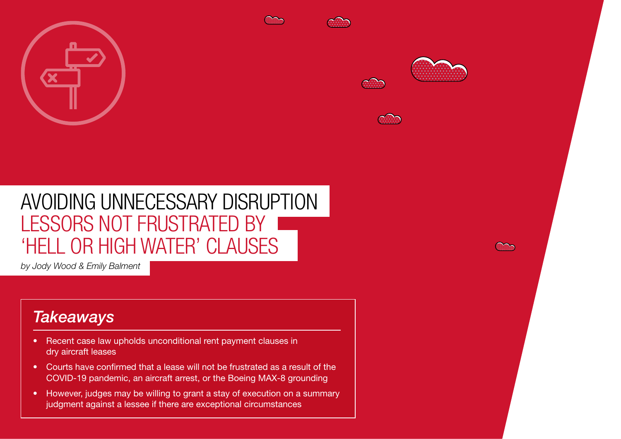







# AVOIDING UNNECESSARY DISRUPTION LESSORS NOT FRUSTRATED BY 'HELL OR HIGH WATER' CLAUSES

*by Jody Wood & Emily Balment*

## *Takeaways*

• Recent case law upholds unconditional rent payment clauses in dry aircraft leases

76 Reed Smith | Global air freight's future - The sky is the limit

- Courts have confirmed that a lease will not be frustrated as a result of the COVID-19 pandemic, an aircraft arrest, or the Boeing MAX-8 grounding
- However, judges may be willing to grant a stay of execution on a summary judgment against a lessee if there are exceptional circumstances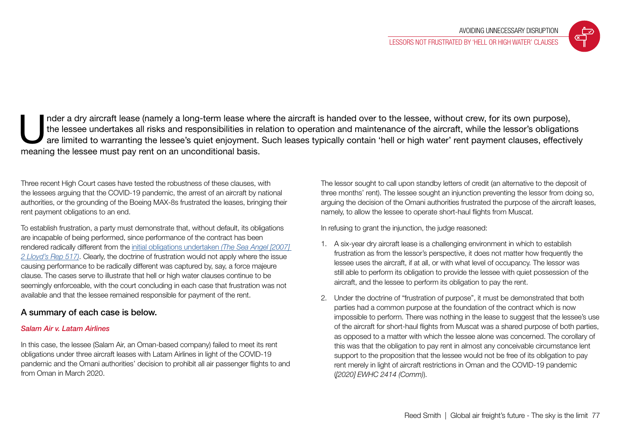

nder a dry aircraft lease (namely a long-term lease where the aircraft is handed over to the lessee, without crew, for its own purpose), the lessee undertakes all risks and responsibilities in relation to operation and mai the lessee undertakes all risks and responsibilities in relation to operation and maintenance of the aircraft, while the lessor's obligations are limited to warranting the lessee's quiet enjoyment. Such leases typically contain 'hell or high water' rent payment clauses, effectively meaning the lessee must pay rent on an unconditional basis.

Three recent High Court cases have tested the robustness of these clauses, with the lessees arguing that the COVID-19 pandemic, the arrest of an aircraft by national authorities, or the grounding of the Boeing MAX-8s frustrated the leases, bringing their rent payment obligations to an end.

To establish frustration, a party must demonstrate that, without default, its obligations are incapable of being performed, since performance of the contract has been rendered radically different from the [initial obligations undertaken](https://www.lawteacher.net/cases/the-sea-angel.php) *(The Sea Angel [2007] [2 Lloyd's Rep 517\)](https://www.lawteacher.net/cases/the-sea-angel.php)*. Clearly, the doctrine of frustration would not apply where the issue causing performance to be radically different was captured by, say, a force majeure clause. The cases serve to illustrate that hell or high water clauses continue to be seemingly enforceable, with the court concluding in each case that frustration was not available and that the lessee remained responsible for payment of the rent.

### A summary of each case is below.

#### *Salam Air v. Latam Airlines*

In this case, the lessee (Salam Air, an Oman-based company) failed to meet its rent obligations under three aircraft leases with Latam Airlines in light of the COVID-19 pandemic and the Omani authorities' decision to prohibit all air passenger flights to and from Oman in March 2020.

The lessor sought to call upon standby letters of credit (an alternative to the deposit of three months' rent). The lessee sought an injunction preventing the lessor from doing so, arguing the decision of the Omani authorities frustrated the purpose of the aircraft leases, namely, to allow the lessee to operate short-haul flights from Muscat.

In refusing to grant the injunction, the judge reasoned:

- 1. A six-year dry aircraft lease is a challenging environment in which to establish frustration as from the lessor's perspective, it does not matter how frequently the lessee uses the aircraft, if at all, or with what level of occupancy. The lessor was still able to perform its obligation to provide the lessee with quiet possession of the aircraft, and the lessee to perform its obligation to pay the rent.
- 2. Under the doctrine of "frustration of purpose", it must be demonstrated that both parties had a common purpose at the foundation of the contract which is now impossible to perform. There was nothing in the lease to suggest that the lessee's use of the aircraft for short-haul flights from Muscat was a shared purpose of both parties, as opposed to a matter with which the lessee alone was concerned. The corollary of this was that the obligation to pay rent in almost any conceivable circumstance lent support to the proposition that the lessee would not be free of its obligation to pay rent merely in light of aircraft restrictions in Oman and the COVID-19 pandemic (*[2020] EWHC 2414 (Comm)*).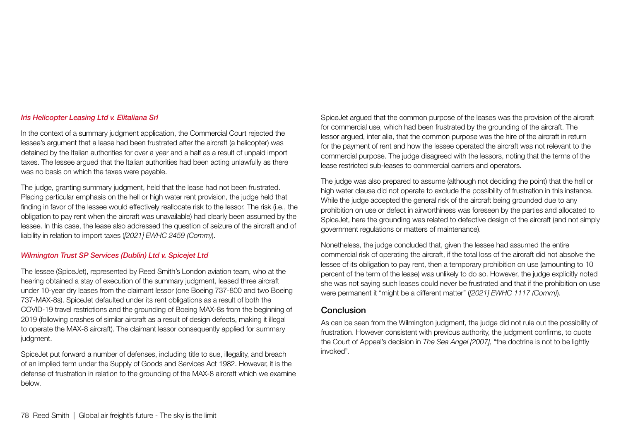#### *Iris Helicopter Leasing Ltd v. Elitaliana Srl*

In the context of a summary judgment application, the Commercial Court rejected the lessee's argument that a lease had been frustrated after the aircraft (a helicopter) was detained by the Italian authorities for over a year and a half as a result of unpaid import taxes. The lessee argued that the Italian authorities had been acting unlawfully as there was no basis on which the taxes were payable.

The judge, granting summary judgment, held that the lease had not been frustrated. Placing particular emphasis on the hell or high water rent provision, the judge held that finding in favor of the lessee would effectively reallocate risk to the lessor. The risk (i.e., the obligation to pay rent when the aircraft was unavailable) had clearly been assumed by the lessee. In this case, the lease also addressed the question of seizure of the aircraft and of liability in relation to import taxes (*[2021] EWHC 2459 (Comm)*).

#### *Wilmington Trust SP Services (Dublin) Ltd v. Spicejet Ltd*

The lessee (SpiceJet), represented by Reed Smith's London aviation team, who at the hearing obtained a stay of execution of the summary judgment, leased three aircraft under 10-year dry leases from the claimant lessor (one Boeing 737-800 and two Boeing 737-MAX-8s). SpiceJet defaulted under its rent obligations as a result of both the COVID-19 travel restrictions and the grounding of Boeing MAX-8s from the beginning of 2019 (following crashes of similar aircraft as a result of design defects, making it illegal to operate the MAX-8 aircraft). The claimant lessor consequently applied for summary judgment.

SpiceJet put forward a number of defenses, including title to sue, illegality, and breach of an implied term under the Supply of Goods and Services Act 1982. However, it is the defense of frustration in relation to the grounding of the MAX-8 aircraft which we examine below.

SpiceJet argued that the common purpose of the leases was the provision of the aircraft for commercial use, which had been frustrated by the grounding of the aircraft. The lessor argued, inter alia, that the common purpose was the hire of the aircraft in return for the payment of rent and how the lessee operated the aircraft was not relevant to the commercial purpose. The judge disagreed with the lessors, noting that the terms of the lease restricted sub-leases to commercial carriers and operators.

The judge was also prepared to assume (although not deciding the point) that the hell or high water clause did not operate to exclude the possibility of frustration in this instance. While the judge accepted the general risk of the aircraft being grounded due to any prohibition on use or defect in airworthiness was foreseen by the parties and allocated to SpiceJet, here the grounding was related to defective design of the aircraft (and not simply government regulations or matters of maintenance).

Nonetheless, the judge concluded that, given the lessee had assumed the entire commercial risk of operating the aircraft, if the total loss of the aircraft did not absolve the lessee of its obligation to pay rent, then a temporary prohibition on use (amounting to 10 percent of the term of the lease) was unlikely to do so. However, the judge explicitly noted she was not saying such leases could never be frustrated and that if the prohibition on use were permanent it "might be a different matter" (*[2021] EWHC 1117 (Comm)*).

#### Conclusion

As can be seen from the Wilmington judgment, the judge did not rule out the possibility of frustration. However consistent with previous authority, the judgment confirms, to quote the Court of Appeal's decision in *The Sea Angel [2007]*, "the doctrine is not to be lightly invoked".